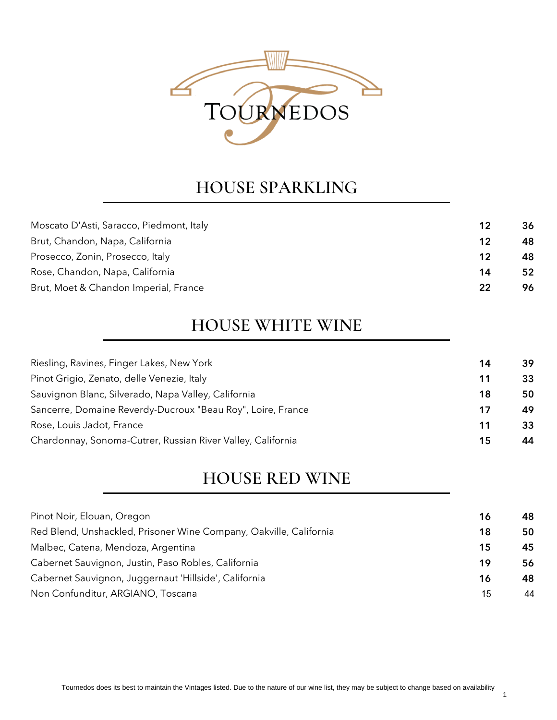

#### **HOUSE SPARKLING**

| Moscato D'Asti, Saracco, Piedmont, Italy | 12 | 36 |
|------------------------------------------|----|----|
| Brut, Chandon, Napa, California          | 12 | 48 |
| Prosecco, Zonin, Prosecco, Italy         | 12 | 48 |
| Rose, Chandon, Napa, California          | 14 | 52 |
| Brut, Moet & Chandon Imperial, France    | 22 | 96 |
|                                          |    |    |

#### **HOUSE WHITE WINE**

| Riesling, Ravines, Finger Lakes, New York                   | 14 | 39 |
|-------------------------------------------------------------|----|----|
| Pinot Grigio, Zenato, delle Venezie, Italy                  | 11 | 33 |
| Sauvignon Blanc, Silverado, Napa Valley, California         | 18 | 50 |
| Sancerre, Domaine Reverdy-Ducroux "Beau Roy", Loire, France | 17 | 49 |
| Rose, Louis Jadot, France                                   | 11 | 33 |
| Chardonnay, Sonoma-Cutrer, Russian River Valley, California | 15 | 44 |
|                                                             |    |    |

#### **HOUSE RED WINE**

| Pinot Noir, Elouan, Oregon                                         | 16 | 48 |
|--------------------------------------------------------------------|----|----|
| Red Blend, Unshackled, Prisoner Wine Company, Oakville, California | 18 | 50 |
| Malbec, Catena, Mendoza, Argentina                                 | 15 | 45 |
| Cabernet Sauvignon, Justin, Paso Robles, California                | 19 | 56 |
| Cabernet Sauvignon, Juggernaut 'Hillside', California              | 16 | 48 |
| Non Confunditur, ARGIANO, Toscana                                  | 15 | 44 |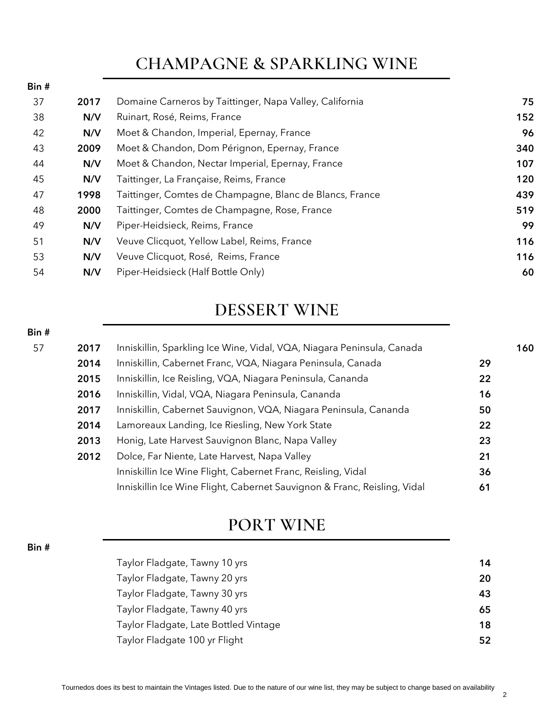### **CHAMPAGNE & SPARKLING WINE**

Bin #

Bin #

Bin #

| 37 | 2017 | Domaine Carneros by Taittinger, Napa Valley, California  | 75  |
|----|------|----------------------------------------------------------|-----|
| 38 | N/V  | Ruinart, Rosé, Reims, France                             | 152 |
| 42 | N/V  | Moet & Chandon, Imperial, Epernay, France                | 96  |
| 43 | 2009 | Moet & Chandon, Dom Pérignon, Epernay, France            | 340 |
| 44 | N/V  | Moet & Chandon, Nectar Imperial, Epernay, France         | 107 |
| 45 | N/V  | Taittinger, La Française, Reims, France                  | 120 |
| 47 | 1998 | Taittinger, Comtes de Champagne, Blanc de Blancs, France | 439 |
| 48 | 2000 | Taittinger, Comtes de Champagne, Rose, France            | 519 |
| 49 | N/V  | Piper-Heidsieck, Reims, France                           | 99  |
| 51 | N/V  | Veuve Clicquot, Yellow Label, Reims, France              | 116 |
| 53 | N/V  | Veuve Clicquot, Rosé, Reims, France                      | 116 |
| 54 | N/V  | Piper-Heidsieck (Half Bottle Only)                       | 60  |
|    |      |                                                          |     |

#### **DESSERT WINE**

| 57<br>2017 | Inniskillin, Sparkling Ice Wine, Vidal, VQA, Niagara Peninsula, Canada   | 160 |
|------------|--------------------------------------------------------------------------|-----|
| 2014       | Inniskillin, Cabernet Franc, VQA, Niagara Peninsula, Canada              | 29  |
| 2015       | Inniskillin, Ice Reisling, VQA, Niagara Peninsula, Cananda               | 22  |
| 2016       | Inniskillin, Vidal, VQA, Niagara Peninsula, Cananda                      | 16  |
| 2017       | Inniskillin, Cabernet Sauvignon, VQA, Niagara Peninsula, Cananda         | 50  |
| 2014       | Lamoreaux Landing, Ice Riesling, New York State                          | 22  |
| 2013       | Honig, Late Harvest Sauvignon Blanc, Napa Valley                         | 23  |
| 2012       | Dolce, Far Niente, Late Harvest, Napa Valley                             | 21  |
|            | Inniskillin Ice Wine Flight, Cabernet Franc, Reisling, Vidal             | 36  |
|            | Inniskillin Ice Wine Flight, Cabernet Sauvignon & Franc, Reisling, Vidal | 61  |

### **PORT WINE**

| Taylor Fladgate, Tawny 10 yrs         | 14 |
|---------------------------------------|----|
| Taylor Fladgate, Tawny 20 yrs         | 20 |
| Taylor Fladgate, Tawny 30 yrs         | 43 |
| Taylor Fladgate, Tawny 40 yrs         | 65 |
| Taylor Fladgate, Late Bottled Vintage | 18 |
| Taylor Fladgate 100 yr Flight         | 52 |
|                                       |    |

Tournedos does its best to maintain the Vintages listed. Due to the nature of our wine list, they may be subject to change based on availability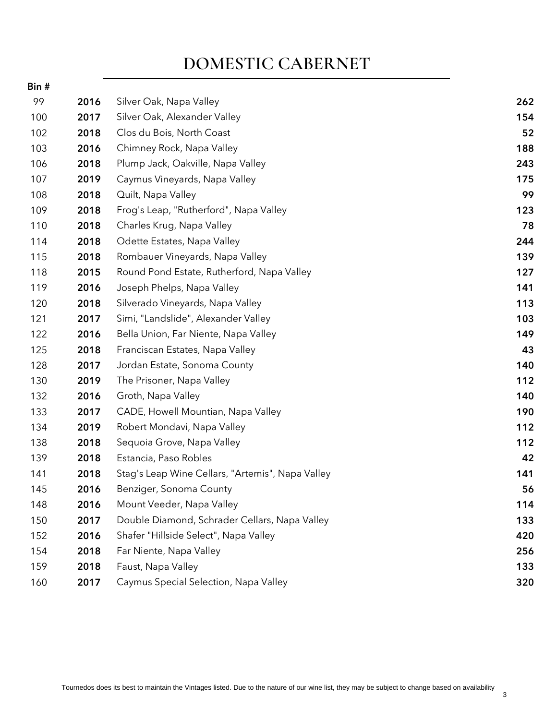### **DOMESTIC CABERNET**

| Bin # |      |                                                  |     |
|-------|------|--------------------------------------------------|-----|
| 99    | 2016 | Silver Oak, Napa Valley                          | 262 |
| 100   | 2017 | Silver Oak, Alexander Valley                     | 154 |
| 102   | 2018 | Clos du Bois, North Coast                        | 52  |
| 103   | 2016 | Chimney Rock, Napa Valley                        | 188 |
| 106   | 2018 | Plump Jack, Oakville, Napa Valley                | 243 |
| 107   | 2019 | Caymus Vineyards, Napa Valley                    | 175 |
| 108   | 2018 | Quilt, Napa Valley                               | 99  |
| 109   | 2018 | Frog's Leap, "Rutherford", Napa Valley           | 123 |
| 110   | 2018 | Charles Krug, Napa Valley                        | 78  |
| 114   | 2018 | Odette Estates, Napa Valley                      | 244 |
| 115   | 2018 | Rombauer Vineyards, Napa Valley                  | 139 |
| 118   | 2015 | Round Pond Estate, Rutherford, Napa Valley       | 127 |
| 119   | 2016 | Joseph Phelps, Napa Valley                       | 141 |
| 120   | 2018 | Silverado Vineyards, Napa Valley                 | 113 |
| 121   | 2017 | Simi, "Landslide", Alexander Valley              | 103 |
| 122   | 2016 | Bella Union, Far Niente, Napa Valley             | 149 |
| 125   | 2018 | Franciscan Estates, Napa Valley                  | 43  |
| 128   | 2017 | Jordan Estate, Sonoma County                     | 140 |
| 130   | 2019 | The Prisoner, Napa Valley                        | 112 |
| 132   | 2016 | Groth, Napa Valley                               | 140 |
| 133   | 2017 | CADE, Howell Mountian, Napa Valley               | 190 |
| 134   | 2019 | Robert Mondavi, Napa Valley                      | 112 |
| 138   | 2018 | Sequoia Grove, Napa Valley                       | 112 |
| 139   | 2018 | Estancia, Paso Robles                            | 42  |
| 141   | 2018 | Stag's Leap Wine Cellars, "Artemis", Napa Valley | 141 |
| 145   | 2016 | Benziger, Sonoma County                          | 56  |
| 148   | 2016 | Mount Veeder, Napa Valley                        | 114 |
| 150   | 2017 | Double Diamond, Schrader Cellars, Napa Valley    | 133 |
| 152   | 2016 | Shafer "Hillside Select", Napa Valley            | 420 |
| 154   | 2018 | Far Niente, Napa Valley                          | 256 |
| 159   | 2018 | Faust, Napa Valley                               | 133 |
| 160   | 2017 | Caymus Special Selection, Napa Valley            | 320 |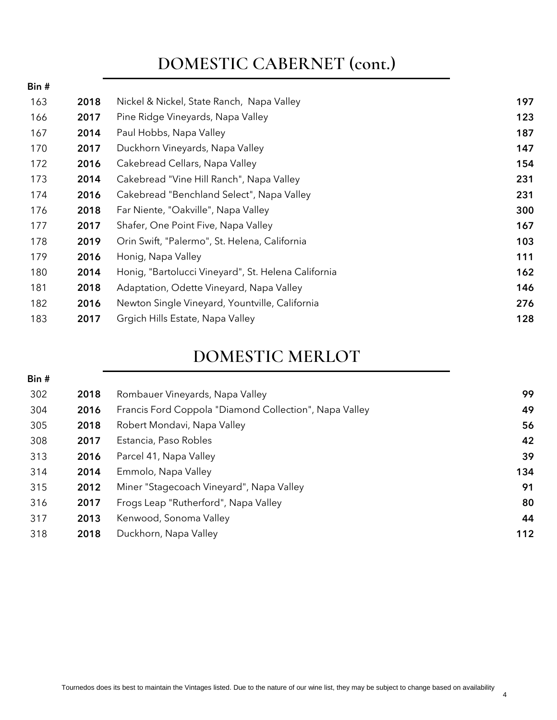### **DOMESTIC CABERNET (cont.)**

| Bin # |      |                                                     |     |
|-------|------|-----------------------------------------------------|-----|
| 163   | 2018 | Nickel & Nickel, State Ranch, Napa Valley           | 197 |
| 166   | 2017 | Pine Ridge Vineyards, Napa Valley                   | 123 |
| 167   | 2014 | Paul Hobbs, Napa Valley                             | 187 |
| 170   | 2017 | Duckhorn Vineyards, Napa Valley                     | 147 |
| 172   | 2016 | Cakebread Cellars, Napa Valley                      | 154 |
| 173   | 2014 | Cakebread "Vine Hill Ranch", Napa Valley            | 231 |
| 174   | 2016 | Cakebread "Benchland Select", Napa Valley           | 231 |
| 176   | 2018 | Far Niente, "Oakville", Napa Valley                 | 300 |
| 177   | 2017 | Shafer, One Point Five, Napa Valley                 | 167 |
| 178   | 2019 | Orin Swift, "Palermo", St. Helena, California       | 103 |
| 179   | 2016 | Honig, Napa Valley                                  | 111 |
| 180   | 2014 | Honig, "Bartolucci Vineyard", St. Helena California | 162 |
| 181   | 2018 | Adaptation, Odette Vineyard, Napa Valley            | 146 |
| 182   | 2016 | Newton Single Vineyard, Yountville, California      | 276 |
| 183   | 2017 | Grgich Hills Estate, Napa Valley                    | 128 |

### **DOMESTIC MERLOT**

| Bin# |      |                                                        |     |
|------|------|--------------------------------------------------------|-----|
| 302  | 2018 | Rombauer Vineyards, Napa Valley                        | 99  |
| 304  | 2016 | Francis Ford Coppola "Diamond Collection", Napa Valley | 49  |
| 305  | 2018 | Robert Mondavi, Napa Valley                            | 56  |
| 308  | 2017 | Estancia, Paso Robles                                  | 42  |
| 313  | 2016 | Parcel 41, Napa Valley                                 | 39  |
| 314  | 2014 | Emmolo, Napa Valley                                    | 134 |
| 315  | 2012 | Miner "Stagecoach Vineyard", Napa Valley               | 91  |
| 316  | 2017 | Frogs Leap "Rutherford", Napa Valley                   | 80  |
| 317  | 2013 | Kenwood, Sonoma Valley                                 | 44  |
| 318  | 2018 | Duckhorn, Napa Valley                                  | 112 |
|      |      |                                                        |     |

4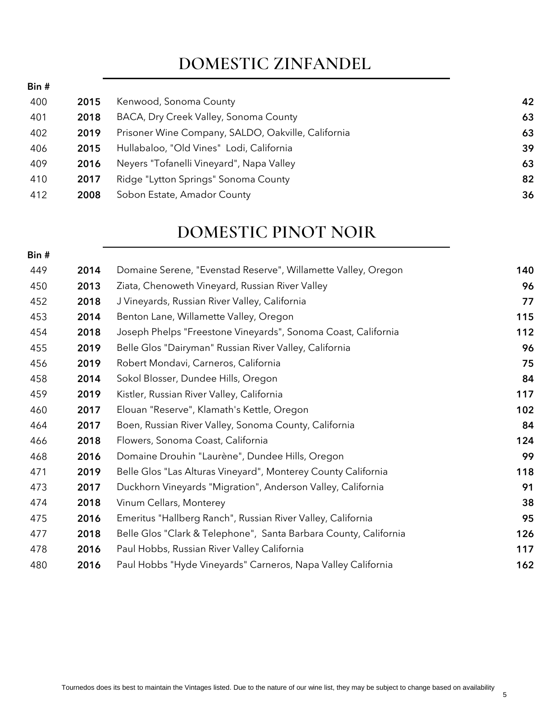## **DOMESTIC ZINFANDEL**

Bin #

 $D: A$ 

| 400 | 2015 | Kenwood, Sonoma County                             | 42 |
|-----|------|----------------------------------------------------|----|
| 401 | 2018 | BACA, Dry Creek Valley, Sonoma County              | 63 |
| 402 | 2019 | Prisoner Wine Company, SALDO, Oakville, California | 63 |
| 406 | 2015 | Hullabaloo, "Old Vines" Lodi, California           | 39 |
| 409 | 2016 | Neyers "Tofanelli Vineyard", Napa Valley           | 63 |
| 410 | 2017 | Ridge "Lytton Springs" Sonoma County               | 82 |
| 412 | 2008 | Sobon Estate, Amador County                        | 36 |
|     |      |                                                    |    |

#### **DOMESTIC PINOT NOIR**

| יז ווט |      |                                                                  |     |
|--------|------|------------------------------------------------------------------|-----|
| 449    | 2014 | Domaine Serene, "Evenstad Reserve", Willamette Valley, Oregon    | 140 |
| 450    | 2013 | Ziata, Chenoweth Vineyard, Russian River Valley                  | 96  |
| 452    | 2018 | J Vineyards, Russian River Valley, California                    | 77  |
| 453    | 2014 | Benton Lane, Willamette Valley, Oregon                           | 115 |
| 454    | 2018 | Joseph Phelps "Freestone Vineyards", Sonoma Coast, California    | 112 |
| 455    | 2019 | Belle Glos "Dairyman" Russian River Valley, California           | 96  |
| 456    | 2019 | Robert Mondavi, Carneros, California                             | 75  |
| 458    | 2014 | Sokol Blosser, Dundee Hills, Oregon                              | 84  |
| 459    | 2019 | Kistler, Russian River Valley, California                        | 117 |
| 460    | 2017 | Elouan "Reserve", Klamath's Kettle, Oregon                       | 102 |
| 464    | 2017 | Boen, Russian River Valley, Sonoma County, California            | 84  |
| 466    | 2018 | Flowers, Sonoma Coast, California                                | 124 |
| 468    | 2016 | Domaine Drouhin "Laurène", Dundee Hills, Oregon                  | 99  |
| 471    | 2019 | Belle Glos "Las Alturas Vineyard", Monterey County California    | 118 |
| 473    | 2017 | Duckhorn Vineyards "Migration", Anderson Valley, California      | 91  |
| 474    | 2018 | Vinum Cellars, Monterey                                          | 38  |
| 475    | 2016 | Emeritus "Hallberg Ranch", Russian River Valley, California      | 95  |
| 477    | 2018 | Belle Glos "Clark & Telephone", Santa Barbara County, California | 126 |
| 478    | 2016 | Paul Hobbs, Russian River Valley California                      | 117 |
| 480    | 2016 | Paul Hobbs "Hyde Vineyards" Carneros, Napa Valley California     | 162 |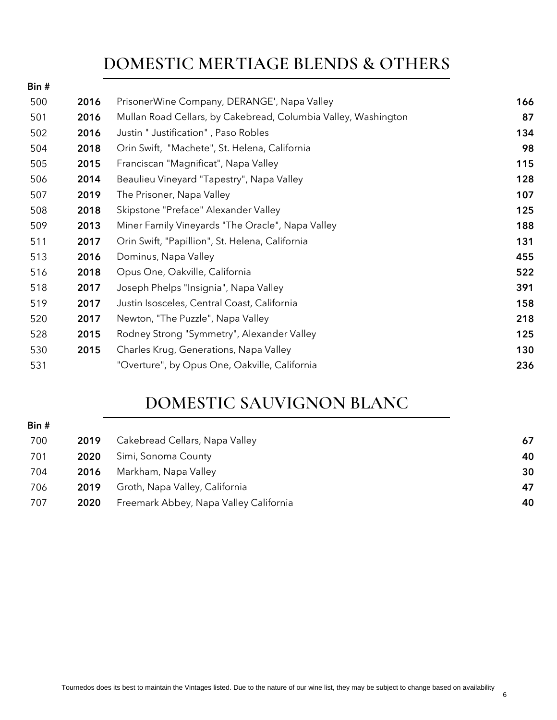## **DOMESTIC MERTIAGE BLENDS & OTHERS**

| Bin # |      |                                                                |     |
|-------|------|----------------------------------------------------------------|-----|
| 500   | 2016 | PrisonerWine Company, DERANGE', Napa Valley                    | 166 |
| 501   | 2016 | Mullan Road Cellars, by Cakebread, Columbia Valley, Washington | 87  |
| 502   | 2016 | Justin " Justification", Paso Robles                           | 134 |
| 504   | 2018 | Orin Swift, "Machete", St. Helena, California                  | 98  |
| 505   | 2015 | Franciscan "Magnificat", Napa Valley                           | 115 |
| 506   | 2014 | Beaulieu Vineyard "Tapestry", Napa Valley                      | 128 |
| 507   | 2019 | The Prisoner, Napa Valley                                      | 107 |
| 508   | 2018 | Skipstone "Preface" Alexander Valley                           | 125 |
| 509   | 2013 | Miner Family Vineyards "The Oracle", Napa Valley               | 188 |
| 511   | 2017 | Orin Swift, "Papillion", St. Helena, California                | 131 |
| 513   | 2016 | Dominus, Napa Valley                                           | 455 |
| 516   | 2018 | Opus One, Oakville, California                                 | 522 |
| 518   | 2017 | Joseph Phelps "Insignia", Napa Valley                          | 391 |
| 519   | 2017 | Justin Isosceles, Central Coast, California                    | 158 |
| 520   | 2017 | Newton, "The Puzzle", Napa Valley                              | 218 |
| 528   | 2015 | Rodney Strong "Symmetry", Alexander Valley                     | 125 |
| 530   | 2015 | Charles Krug, Generations, Napa Valley                         | 130 |
| 531   |      | "Overture", by Opus One, Oakville, California                  | 236 |
|       |      |                                                                |     |

## **DOMESTIC SAUVIGNON BLANC**

Bin #

| 700 | 2019 | Cakebread Cellars, Napa Valley         | 67 |
|-----|------|----------------------------------------|----|
| 701 | 2020 | Simi, Sonoma County                    | 40 |
| 704 | 2016 | Markham, Napa Valley                   | 30 |
| 706 | 2019 | Groth, Napa Valley, California         | 47 |
| 707 | 2020 | Freemark Abbey, Napa Valley California | 40 |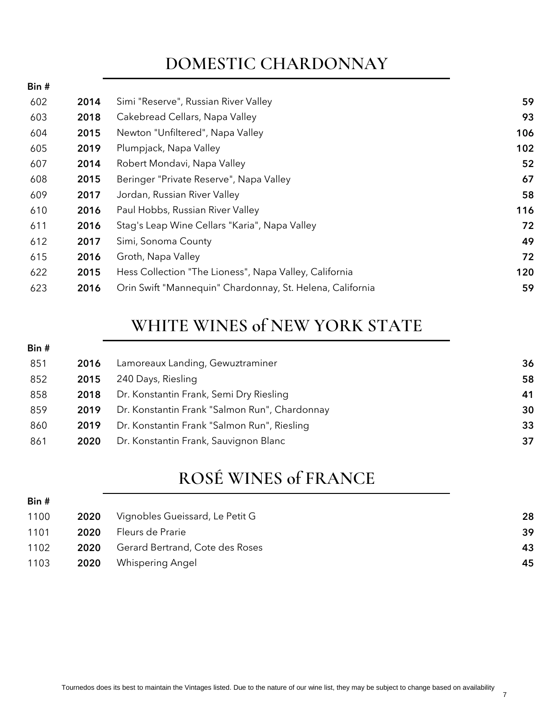## **DOMESTIC CHARDONNAY**

| Bin # |      |                                                           |     |
|-------|------|-----------------------------------------------------------|-----|
| 602   | 2014 | Simi "Reserve", Russian River Valley                      | 59  |
| 603   | 2018 | Cakebread Cellars, Napa Valley                            | 93  |
| 604   | 2015 | Newton "Unfiltered", Napa Valley                          | 106 |
| 605   | 2019 | Plumpjack, Napa Valley                                    | 102 |
| 607   | 2014 | Robert Mondavi, Napa Valley                               | 52  |
| 608   | 2015 | Beringer "Private Reserve", Napa Valley                   | 67  |
| 609   | 2017 | Jordan, Russian River Valley                              | 58  |
| 610   | 2016 | Paul Hobbs, Russian River Valley                          | 116 |
| 611   | 2016 | Stag's Leap Wine Cellars "Karia", Napa Valley             | 72  |
| 612   | 2017 | Simi, Sonoma County                                       | 49  |
| 615   | 2016 | Groth, Napa Valley                                        | 72  |
| 622   | 2015 | Hess Collection "The Lioness", Napa Valley, California    | 120 |
| 623   | 2016 | Orin Swift "Mannequin" Chardonnay, St. Helena, California | 59  |
|       |      |                                                           |     |

# **WHITE WINES of NEW YORK STATE**

| Bin # |      |                                               |    |
|-------|------|-----------------------------------------------|----|
| 851   | 2016 | Lamoreaux Landing, Gewuztraminer              | 36 |
| 852   | 2015 | 240 Days, Riesling                            | 58 |
| 858   | 2018 | Dr. Konstantin Frank, Semi Dry Riesling       | 41 |
| 859   | 2019 | Dr. Konstantin Frank "Salmon Run", Chardonnay | 30 |
| 860   | 2019 | Dr. Konstantin Frank "Salmon Run", Riesling   | 33 |
| 861   | 2020 | Dr. Konstantin Frank, Sauvignon Blanc         | 37 |
|       |      |                                               |    |

# **ROSÉ WINES of FRANCE**

| Bin # |      |                                 |    |
|-------|------|---------------------------------|----|
| 1100  | 2020 | Vignobles Gueissard, Le Petit G | 28 |
| 1101  | 2020 | Fleurs de Prarie                | 39 |
| 1102  | 2020 | Gerard Bertrand, Cote des Roses | 43 |
| 1103  | 2020 | <b>Whispering Angel</b>         | 45 |
|       |      |                                 |    |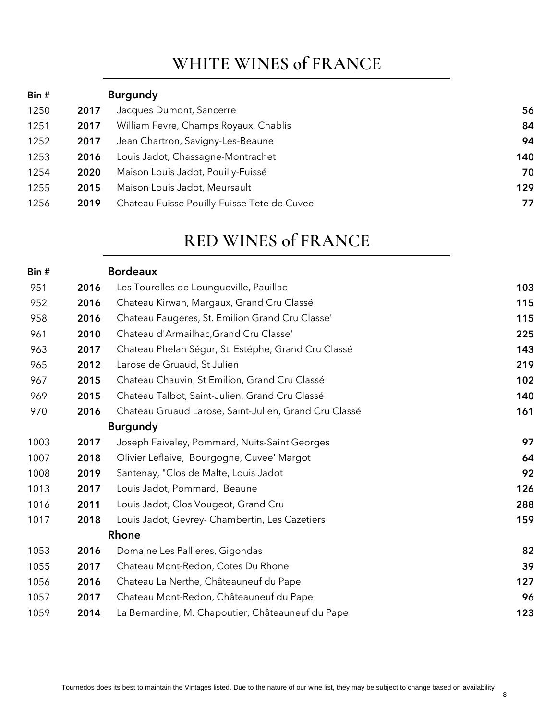### **WHITE WINES of FRANCE**

| Bin # |      | <b>Burgundy</b>                             |     |
|-------|------|---------------------------------------------|-----|
| 1250  | 2017 | Jacques Dumont, Sancerre                    | 56  |
| 1251  | 2017 | William Fevre, Champs Royaux, Chablis       | 84  |
| 1252  | 2017 | Jean Chartron, Savigny-Les-Beaune           | 94  |
| 1253  | 2016 | Louis Jadot, Chassagne-Montrachet           | 140 |
| 1254  | 2020 | Maison Louis Jadot, Pouilly-Fuissé          | 70  |
| 1255  | 2015 | Maison Louis Jadot, Meursault               | 129 |
| 1256  | 2019 | Chateau Fuisse Pouilly-Fuisse Tete de Cuvee | 77  |

#### **RED WINES of FRANCE**

| Bin # |      | <b>Bordeaux</b>                                       |     |
|-------|------|-------------------------------------------------------|-----|
| 951   | 2016 | Les Tourelles de Loungueville, Pauillac               | 103 |
| 952   | 2016 | Chateau Kirwan, Margaux, Grand Cru Classé             | 115 |
| 958   | 2016 | Chateau Faugeres, St. Emilion Grand Cru Classe'       | 115 |
| 961   | 2010 | Chateau d'Armailhac, Grand Cru Classe'                | 225 |
| 963   | 2017 | Chateau Phelan Ségur, St. Estéphe, Grand Cru Classé   | 143 |
| 965   | 2012 | Larose de Gruaud, St Julien                           | 219 |
| 967   | 2015 | Chateau Chauvin, St Emilion, Grand Cru Classé         | 102 |
| 969   | 2015 | Chateau Talbot, Saint-Julien, Grand Cru Classé        | 140 |
| 970   | 2016 | Chateau Gruaud Larose, Saint-Julien, Grand Cru Classé | 161 |
|       |      | <b>Burgundy</b>                                       |     |
| 1003  | 2017 | Joseph Faiveley, Pommard, Nuits-Saint Georges         | 97  |
| 1007  | 2018 | Olivier Leflaive, Bourgogne, Cuvee' Margot            | 64  |
| 1008  | 2019 | Santenay, "Clos de Malte, Louis Jadot                 | 92  |
| 1013  | 2017 | Louis Jadot, Pommard, Beaune                          | 126 |
| 1016  | 2011 | Louis Jadot, Clos Vougeot, Grand Cru                  | 288 |
| 1017  | 2018 | Louis Jadot, Gevrey- Chambertin, Les Cazetiers        | 159 |
|       |      | Rhone                                                 |     |
| 1053  | 2016 | Domaine Les Pallieres, Gigondas                       | 82  |
| 1055  | 2017 | Chateau Mont-Redon, Cotes Du Rhone                    | 39  |
| 1056  | 2016 | Chateau La Nerthe, Châteauneuf du Pape                | 127 |
| 1057  | 2017 | Chateau Mont-Redon, Châteauneuf du Pape               | 96  |
| 1059  | 2014 | La Bernardine, M. Chapoutier, Châteauneuf du Pape     | 123 |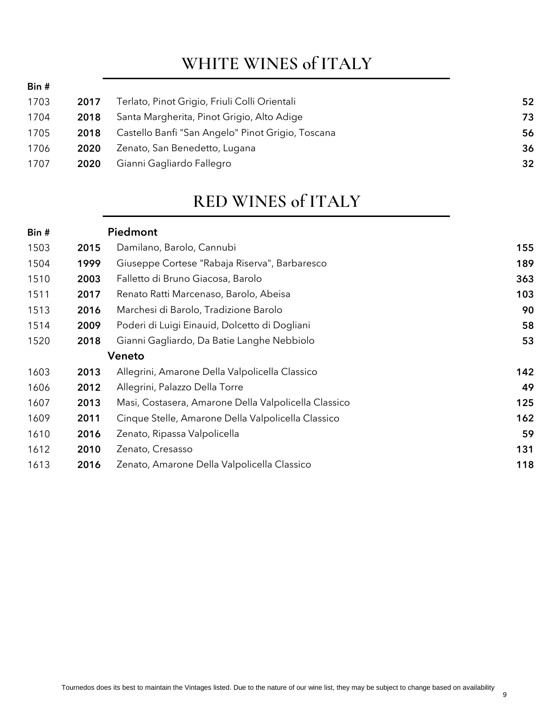### **WHITE WINES of ITALY**

Bin #

| 1703 | 2017 | Terlato, Pinot Grigio, Friuli Colli Orientali     | 52 |
|------|------|---------------------------------------------------|----|
| 1704 | 2018 | Santa Margherita, Pinot Grigio, Alto Adige        | 73 |
| 1705 | 2018 | Castello Banfi "San Angelo" Pinot Grigio, Toscana | 56 |
| 1706 | 2020 | Zenato, San Benedetto, Lugana                     | 36 |
| 1707 | 2020 | Gianni Gagliardo Fallegro                         | 32 |
|      |      |                                                   |    |

#### **RED WINES of ITALY**

| 155<br>189 |
|------------|
|            |
|            |
| 363        |
| 103        |
| 90         |
| 58         |
| 53         |
|            |
| 142        |
| 49         |
| 125        |
| 162        |
| 59         |
| 131        |
| 118        |
|            |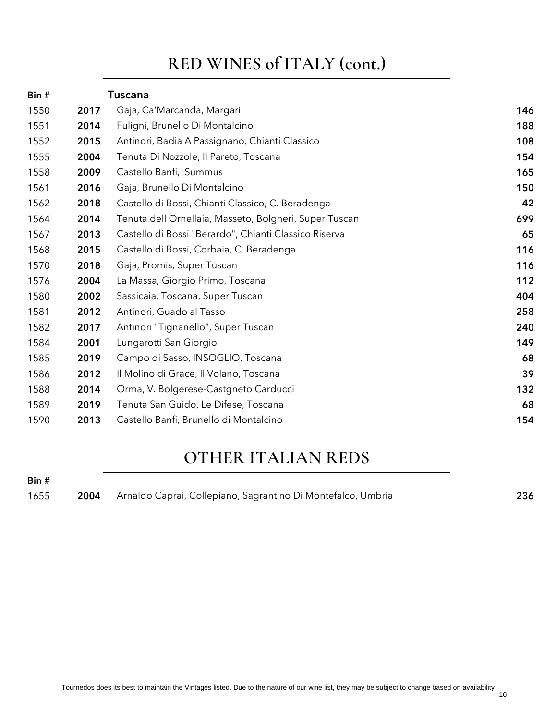### **RED WINES of ITALY (cont.)**

| Bin# |      | <b>Tuscana</b>                                         |     |
|------|------|--------------------------------------------------------|-----|
| 1550 | 2017 | Gaja, Ca'Marcanda, Margari                             | 146 |
| 1551 | 2014 | Fuligni, Brunello Di Montalcino                        | 188 |
| 1552 | 2015 | Antinori, Badia A Passignano, Chianti Classico         | 108 |
| 1555 | 2004 | Tenuta Di Nozzole, Il Pareto, Toscana                  | 154 |
| 1558 | 2009 | Castello Banfi, Summus                                 | 165 |
| 1561 | 2016 | Gaja, Brunello Di Montalcino                           | 150 |
| 1562 | 2018 | Castello di Bossi, Chianti Classico, C. Beradenga      | 42  |
| 1564 | 2014 | Tenuta dell Ornellaia, Masseto, Bolgheri, Super Tuscan | 699 |
| 1567 | 2013 | Castello di Bossi "Berardo", Chianti Classico Riserva  | 65  |
| 1568 | 2015 | Castello di Bossi, Corbaia, C. Beradenga               | 116 |
| 1570 | 2018 | Gaja, Promis, Super Tuscan                             | 116 |
| 1576 | 2004 | La Massa, Giorgio Primo, Toscana                       | 112 |
| 1580 | 2002 | Sassicaia, Toscana, Super Tuscan                       | 404 |
| 1581 | 2012 | Antinori, Guado al Tasso                               | 258 |
| 1582 | 2017 | Antinori "Tignanello", Super Tuscan                    | 240 |
| 1584 | 2001 | Lungarotti San Giorgio                                 | 149 |
| 1585 | 2019 | Campo di Sasso, INSOGLIO, Toscana                      | 68  |
| 1586 | 2012 | Il Molino di Grace, Il Volano, Toscana                 | 39  |
| 1588 | 2014 | Orma, V. Bolgerese-Castgneto Carducci                  | 132 |
| 1589 | 2019 | Tenuta San Guido, Le Difese, Toscana                   | 68  |
| 1590 | 2013 | Castello Banfi, Brunello di Montalcino                 | 154 |

#### **OTHER ITALIAN REDS**

| 1655 | 2004 Arnaldo Caprai, Collepiano, Sagrantino Di Montefalco, Umbria | 236 |
|------|-------------------------------------------------------------------|-----|
|      |                                                                   |     |

Bin #